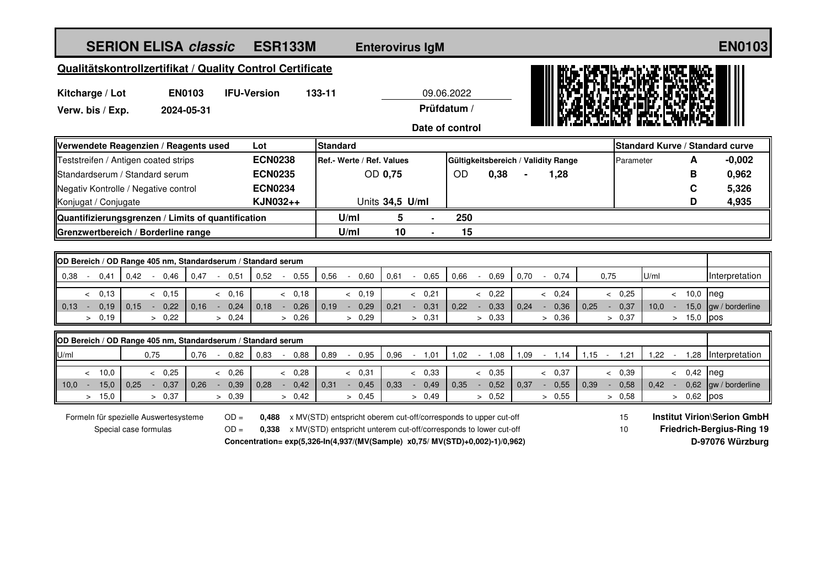| <b>SERION ELISA classic</b>                                                      | <b>ESR133M</b>         | <b>Enterovirus IgM</b>                                                        |                              |                                                          |                                            | <b>EN0103</b>                      |
|----------------------------------------------------------------------------------|------------------------|-------------------------------------------------------------------------------|------------------------------|----------------------------------------------------------|--------------------------------------------|------------------------------------|
| Qualitätskontrollzertifikat / Quality Control Certificate                        |                        |                                                                               |                              |                                                          |                                            |                                    |
| <b>EN0103</b><br><b>IFU-Version</b><br>133-11<br>09.06.2022<br>Kitcharge / Lot   |                        |                                                                               |                              |                                                          |                                            |                                    |
| Verw. bis / Exp.<br>2024-05-31                                                   |                        |                                                                               | Prüfdatum /                  |                                                          |                                            |                                    |
|                                                                                  |                        |                                                                               | Date of control              |                                                          |                                            |                                    |
| Verwendete Reagenzien / Reagents used                                            | Lot                    | <b>Standard</b>                                                               |                              |                                                          | <b>Standard Kurve / Standard curve</b>     |                                    |
| Teststreifen / Antigen coated strips                                             | <b>ECN0238</b>         | Ref.- Werte / Ref. Values                                                     |                              | Gültigkeitsbereich / Validity Range                      | Parameter<br>A                             | $-0,002$                           |
| Standardserum / Standard serum                                                   | <b>ECN0235</b>         | OD 0,75                                                                       | OD                           | 0,38<br>1,28                                             | B                                          | 0,962                              |
| Negativ Kontrolle / Negative control                                             | <b>ECN0234</b>         |                                                                               |                              |                                                          | $\mathbf c$                                | 5,326                              |
| Konjugat / Conjugate                                                             | KJN032++               | Units 34,5 U/ml                                                               |                              |                                                          | D                                          | 4,935                              |
| Quantifizierungsgrenzen / Limits of quantification                               |                        | 5<br>U/ml                                                                     | 250                          |                                                          |                                            |                                    |
| Grenzwertbereich / Borderline range                                              |                        | U/ml<br>10                                                                    | 15                           |                                                          |                                            |                                    |
|                                                                                  |                        |                                                                               |                              |                                                          |                                            |                                    |
| OD Bereich / OD Range 405 nm, Standardserum / Standard serum                     |                        |                                                                               |                              |                                                          |                                            |                                    |
| 0,38<br>0,41<br>0,42<br>$-0.46$<br>0,47<br>- 0.51<br>$\mathcal{L}_{\mathcal{A}}$ | 0,52<br>$-0,55$        | 0,56<br>0,60<br>0,61<br>$\sim$ $-$<br>$\sim$                                  | 0.66<br>0.65<br>$\mathbb{Z}$ | 0,70<br>0,75<br>0.69<br>0,74<br>$\sim$                   | U/ml                                       | Interpretation                     |
| & 0,15<br>& 0,16<br>0,13<br>$\prec$                                              | < 0,18                 | < 0,19                                                                        | & 0,22<br>& 0,21             | & 0.24                                                   | & 0,25<br>< 10,0                           | nea                                |
| 0.15<br>0,22<br>0.16<br>0,24<br>0.13<br>0,19<br>$\sim$<br>$\sim$<br>$\sim$       | 0.18<br>0,26<br>$\sim$ | 0.19<br>0,29<br>0.21<br>$\sim$<br>$\sim$                                      | 0,31<br>0.22<br>$\sim$       | 0,33<br>0,24<br>0,36<br>0.25<br>$\sim$ $^{-1}$<br>$\sim$ | 0,37<br>15,0<br>10.0                       | gw / borderline                    |
| > 0,22<br>> 0,24<br>0,19<br>$\geq$                                               | > 0,26                 | > 0,29                                                                        | > 0,31<br>> 0.33             | > 0.36                                                   | $> 15.0$ pos<br>> 0,37                     |                                    |
| OD Bereich / OD Range 405 nm, Standardserum / Standard serum                     |                        |                                                                               |                              |                                                          |                                            |                                    |
| 0,76<br>U/ml<br>0,75<br>$\sim 10^{-1}$<br>0,82                                   | 0,83<br>$-0,88$        | 0,89<br>0,95<br>0,96<br>$\sim$                                                | $-1,01$<br>1,02<br>$-1,08$   | 1,09<br>$-1,14$<br>$1,15 -$                              | 1,21<br>$1,22 - 1$                         | 1,28 Interpretation                |
| & 0,25<br>< 10.0<br>& 0.26                                                       | & 0,28                 | < 0,31                                                                        | < 0,33<br>< 0,35             | < 0,37                                                   | & 0,39<br>0,42<br>$\overline{\phantom{a}}$ | neg                                |
| $10.0 -$<br>15,0<br>0,37<br>0.26<br>0,39<br>0.25<br>$\sim 10^{-1}$<br>$\sim$     | 0.28<br>0,42<br>$\sim$ | 0.31<br>0,45<br>0.33<br>$\sim$ $^{-1}$<br>$\sim$                              | 0,49<br>0.35<br>$\sim$       | 0,52<br>0.37<br>0,55<br>0.39<br>$\sim$<br>$\sim$         | 0,58<br>0.42<br>$\sim$                     | $0.62$ aw / borderline             |
| > 15,0<br>> 0,37<br>> 0,39                                                       | > 0,42                 | > 0,45                                                                        | > 0,52<br>> 0,49             | > 0,55                                                   | > 0,58<br>$> 0,62$ pos                     |                                    |
| Formeln für spezielle Auswertesysteme<br>$OD =$                                  |                        | 0,488 x MV(STD) entspricht oberem cut-off/corresponds to upper cut-off        |                              |                                                          | 15                                         | <b>Institut Virion\Serion GmbH</b> |
| Special case formulas<br>$OD =$                                                  |                        | 0,338 x MV(STD) entspricht unterem cut-off/corresponds to lower cut-off       |                              |                                                          | 10                                         | <b>Friedrich-Bergius-Ring 19</b>   |
|                                                                                  |                        | Concentration= exp(5,326-ln(4,937/(MV(Sample) x0,75/ MV(STD)+0,002)-1)/0,962) |                              |                                                          |                                            | D-97076 Würzburg                   |
|                                                                                  |                        |                                                                               |                              |                                                          |                                            |                                    |
|                                                                                  |                        |                                                                               |                              |                                                          |                                            |                                    |
|                                                                                  |                        |                                                                               |                              |                                                          |                                            |                                    |
|                                                                                  |                        |                                                                               |                              |                                                          |                                            |                                    |
|                                                                                  |                        |                                                                               |                              |                                                          |                                            |                                    |
|                                                                                  |                        |                                                                               |                              |                                                          |                                            |                                    |